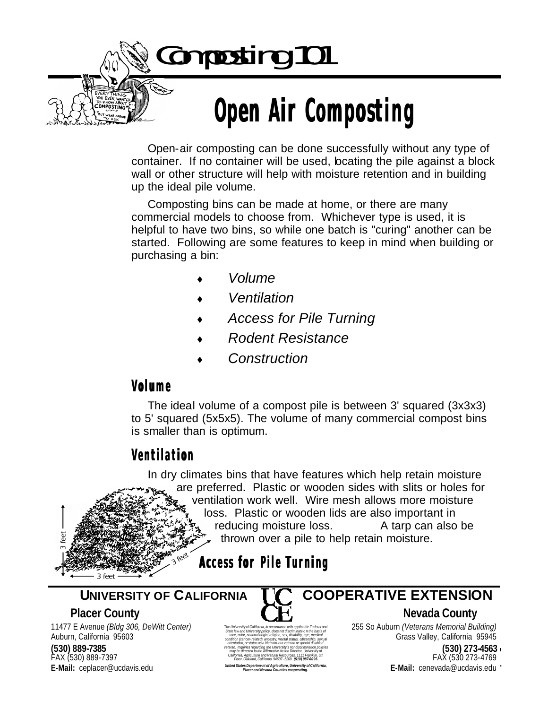Composting 101

# **Open Air Composting**

Open-air composting can be done successfully without any type of container. If no container will be used, locating the pile against a block wall or other structure will help with moisture retention and in building up the ideal pile volume.

Composting bins can be made at home, or there are many commercial models to choose from. Whichever type is used, it is helpful to have two bins, so while one batch is "curing" another can be started. Following are some features to keep in mind when building or purchasing a bin:

- ♦ *Volume*
- ♦ *Ventilation*
- ♦ *Access for Pile Turning*
- ♦ *Rodent Resistance*
- $Construction$

### **Volume**

The ideal volume of a compost pile is between 3' squared (3x3x3) to 5' squared (5x5x5). The volume of many commercial compost bins is smaller than is optimum.

### **Ventilation**

In dry climates bins that have features which help retain moisture are preferred. Plastic or wooden sides with slits or holes for ventilation work well. Wire mesh allows more moisture loss. Plastic or wooden lids are also important in reducing moisture loss. A tarp can also be thrown over a pile to help retain moisture.

**Access for Pile Turning**

UNIVERSITY OF CALIFORNIA COOPERATIVE EXTENSION Page 1 **E-Mail:** cenevada@ucdavis.edu 11477 E Avenue *(Bldg 306, DeWitt Center)* Auburn, California 95603 **(530) 889-7385** FAX (530) 889-7397 **E-Mail:** ceplacer@ucdavis.edu



*The University of California, in accordance with applicable Federal and State law and University policy, does not discriminate o n the basis of race, color, national origin, religion, sex, disability, age, medical condition (cancer-related), ancestry, marital status, citizenship, sexual orientation, or status as a Vietnam-era veteran or special disabled veteran. Inquiries regarding the University's nondiscrimination policies may be directed to the Affirmative Action Director, University of California, Agriculture and Natural Resources, 1111 Franklin, 6th Floor, Oakland, California 94607 -5200. (510) 987-0096. United States Departme nt of Agriculture, University of California, Placer and Nevada Counties cooperating.*

 **UNIVERSITY OF CALIFORNIA COOPERATIVE EXTENSION**

**Placer County County C F**, **C H**, **Nevada County** 

255 So Auburn *(Veterans Memorial Building)* Grass Valley, California 95945

> **(530) 273-4563** FAX (530 273-4769